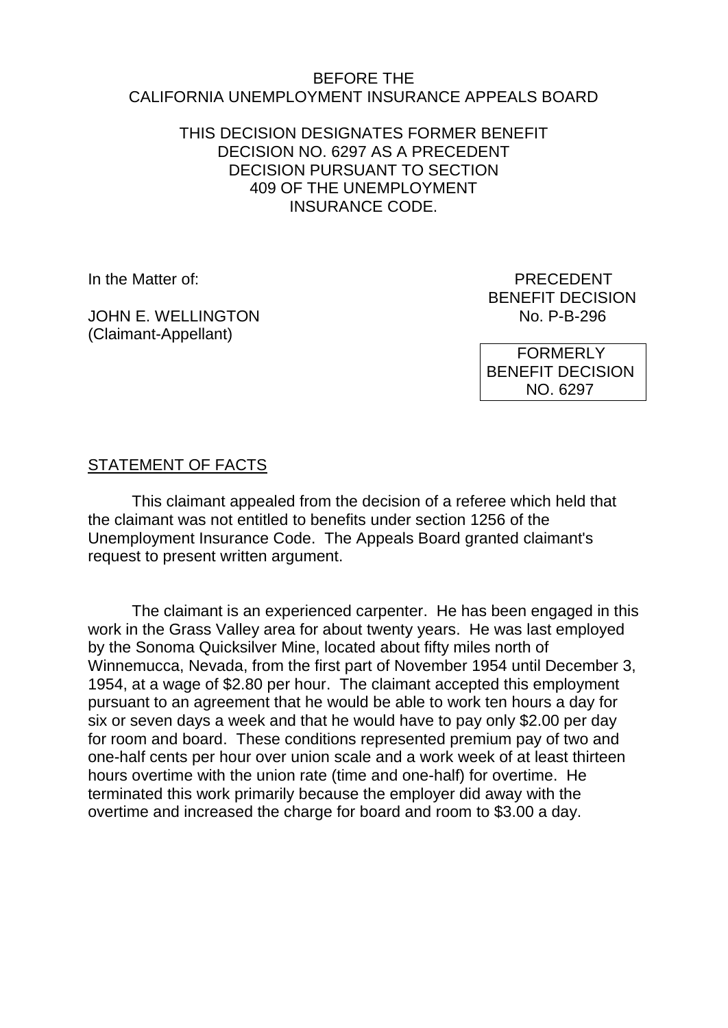#### BEFORE THE CALIFORNIA UNEMPLOYMENT INSURANCE APPEALS BOARD

### THIS DECISION DESIGNATES FORMER BENEFIT DECISION NO. 6297 AS A PRECEDENT DECISION PURSUANT TO SECTION 409 OF THE UNEMPLOYMENT INSURANCE CODE.

In the Matter of: PRECEDENT

JOHN F. WELLINGTON (Claimant-Appellant)

BENEFIT DECISION<br>No. P-B-296

 FORMERLY BENEFIT DECISION NO. 6297

# STATEMENT OF FACTS

This claimant appealed from the decision of a referee which held that the claimant was not entitled to benefits under section 1256 of the Unemployment Insurance Code. The Appeals Board granted claimant's request to present written argument.

The claimant is an experienced carpenter. He has been engaged in this work in the Grass Valley area for about twenty years. He was last employed by the Sonoma Quicksilver Mine, located about fifty miles north of Winnemucca, Nevada, from the first part of November 1954 until December 3, 1954, at a wage of \$2.80 per hour. The claimant accepted this employment pursuant to an agreement that he would be able to work ten hours a day for six or seven days a week and that he would have to pay only \$2.00 per day for room and board. These conditions represented premium pay of two and one-half cents per hour over union scale and a work week of at least thirteen hours overtime with the union rate (time and one-half) for overtime. He terminated this work primarily because the employer did away with the overtime and increased the charge for board and room to \$3.00 a day.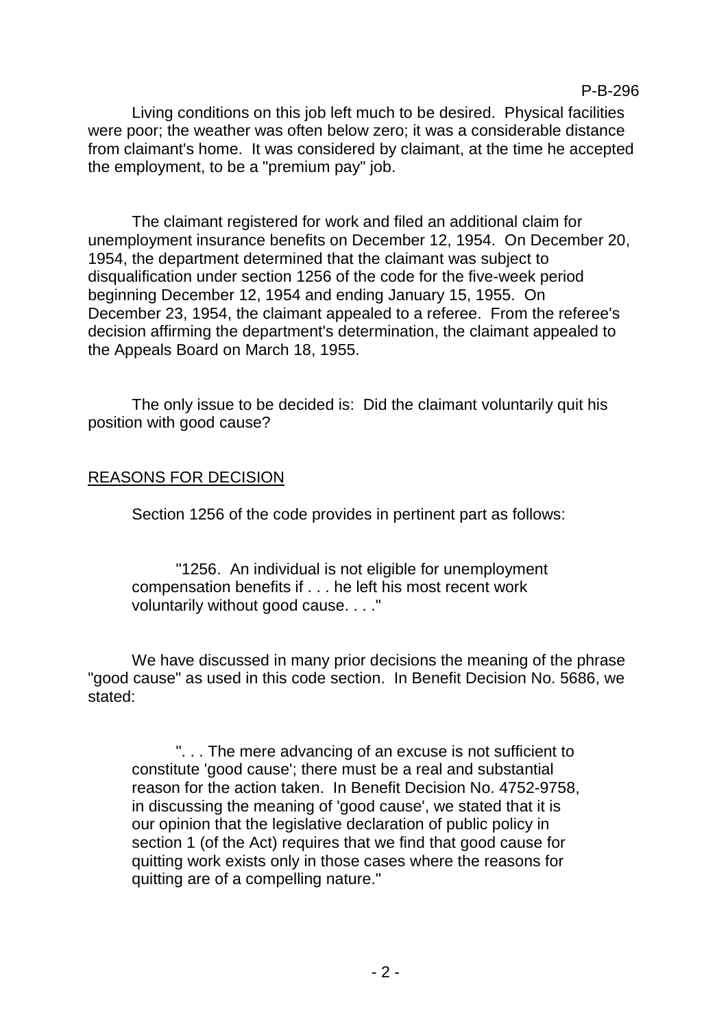Living conditions on this job left much to be desired. Physical facilities were poor; the weather was often below zero; it was a considerable distance from claimant's home. It was considered by claimant, at the time he accepted the employment, to be a "premium pay" job.

P-B-296

The claimant registered for work and filed an additional claim for unemployment insurance benefits on December 12, 1954. On December 20, 1954, the department determined that the claimant was subject to disqualification under section 1256 of the code for the five-week period beginning December 12, 1954 and ending January 15, 1955. On December 23, 1954, the claimant appealed to a referee. From the referee's decision affirming the department's determination, the claimant appealed to the Appeals Board on March 18, 1955.

The only issue to be decided is: Did the claimant voluntarily quit his position with good cause?

#### REASONS FOR DECISION

Section 1256 of the code provides in pertinent part as follows:

"1256. An individual is not eligible for unemployment compensation benefits if . . . he left his most recent work voluntarily without good cause. . . ."

We have discussed in many prior decisions the meaning of the phrase "good cause" as used in this code section. In Benefit Decision No. 5686, we stated:

". . . The mere advancing of an excuse is not sufficient to constitute 'good cause'; there must be a real and substantial reason for the action taken. In Benefit Decision No. 4752-9758, in discussing the meaning of 'good cause', we stated that it is our opinion that the legislative declaration of public policy in section 1 (of the Act) requires that we find that good cause for quitting work exists only in those cases where the reasons for quitting are of a compelling nature."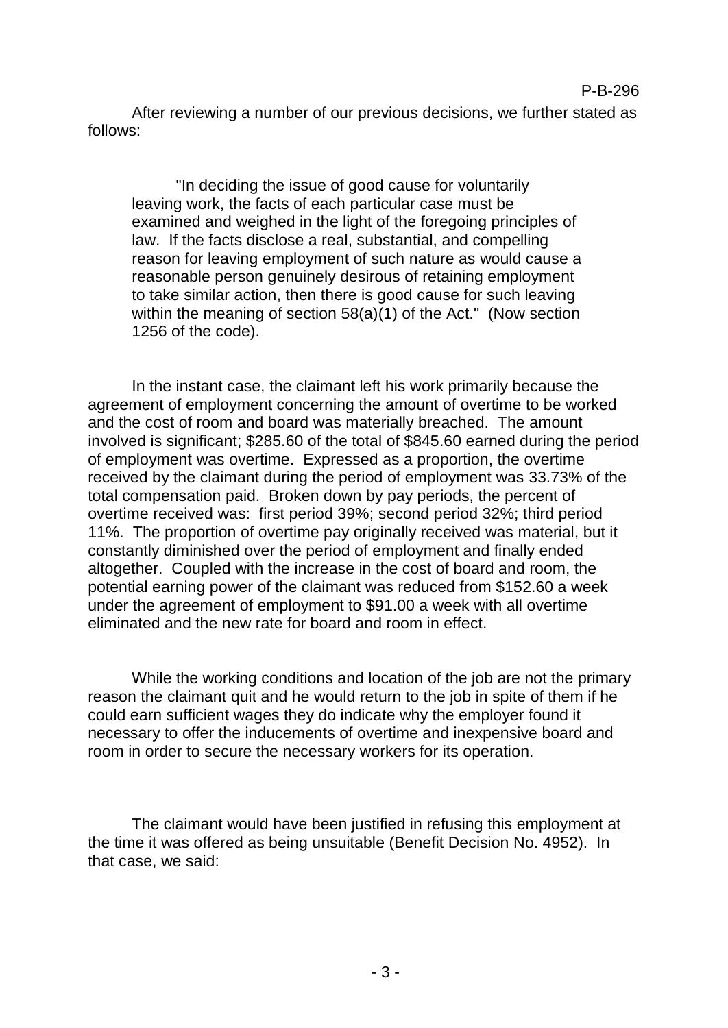"In deciding the issue of good cause for voluntarily leaving work, the facts of each particular case must be examined and weighed in the light of the foregoing principles of law. If the facts disclose a real, substantial, and compelling reason for leaving employment of such nature as would cause a reasonable person genuinely desirous of retaining employment to take similar action, then there is good cause for such leaving within the meaning of section 58(a)(1) of the Act." (Now section 1256 of the code).

In the instant case, the claimant left his work primarily because the agreement of employment concerning the amount of overtime to be worked and the cost of room and board was materially breached. The amount involved is significant; \$285.60 of the total of \$845.60 earned during the period of employment was overtime. Expressed as a proportion, the overtime received by the claimant during the period of employment was 33.73% of the total compensation paid. Broken down by pay periods, the percent of overtime received was: first period 39%; second period 32%; third period 11%. The proportion of overtime pay originally received was material, but it constantly diminished over the period of employment and finally ended altogether. Coupled with the increase in the cost of board and room, the potential earning power of the claimant was reduced from \$152.60 a week under the agreement of employment to \$91.00 a week with all overtime eliminated and the new rate for board and room in effect.

While the working conditions and location of the job are not the primary reason the claimant quit and he would return to the job in spite of them if he could earn sufficient wages they do indicate why the employer found it necessary to offer the inducements of overtime and inexpensive board and room in order to secure the necessary workers for its operation.

The claimant would have been justified in refusing this employment at the time it was offered as being unsuitable (Benefit Decision No. 4952). In that case, we said: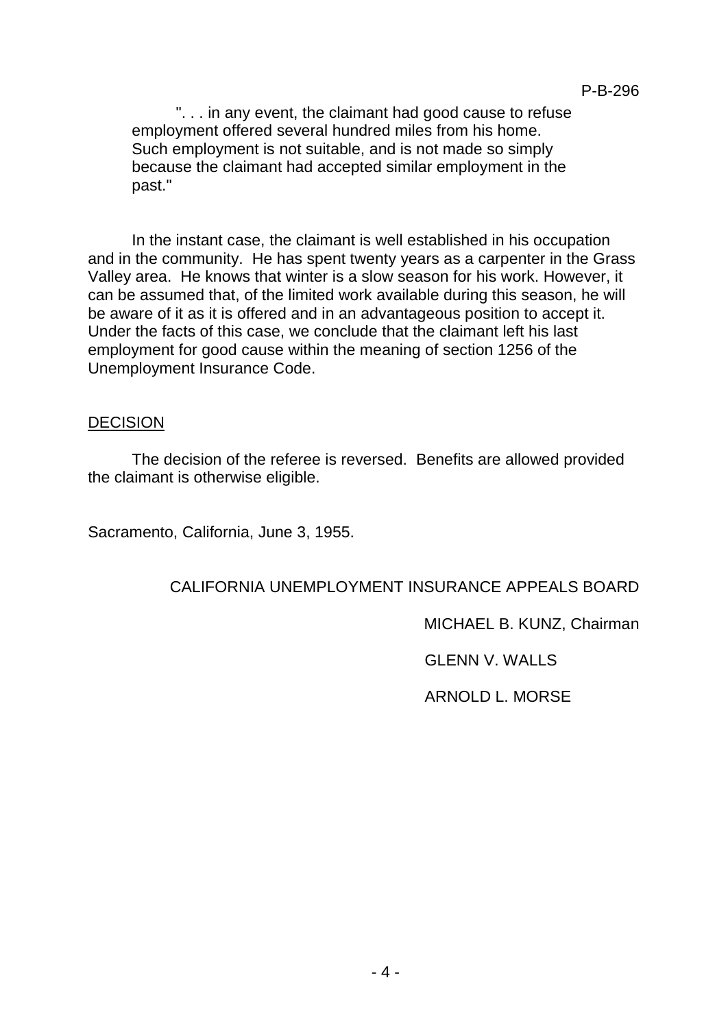". . . in any event, the claimant had good cause to refuse employment offered several hundred miles from his home. Such employment is not suitable, and is not made so simply because the claimant had accepted similar employment in the past."

In the instant case, the claimant is well established in his occupation and in the community. He has spent twenty years as a carpenter in the Grass Valley area. He knows that winter is a slow season for his work. However, it can be assumed that, of the limited work available during this season, he will be aware of it as it is offered and in an advantageous position to accept it. Under the facts of this case, we conclude that the claimant left his last employment for good cause within the meaning of section 1256 of the Unemployment Insurance Code.

#### DECISION

The decision of the referee is reversed. Benefits are allowed provided the claimant is otherwise eligible.

Sacramento, California, June 3, 1955.

## CALIFORNIA UNEMPLOYMENT INSURANCE APPEALS BOARD

MICHAEL B. KUNZ, Chairman

GLENN V. WALLS

ARNOLD L. MORSE